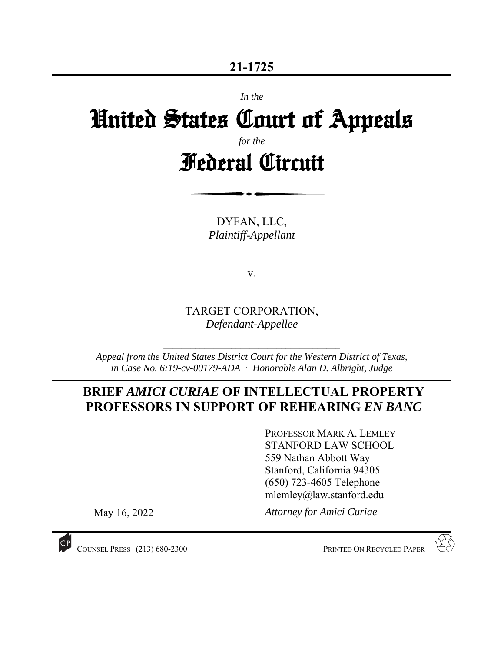*In the* 

# United States Court of Appeals

*for the*

Federal Circuit

DYFAN, LLC, *Plaintiff-Appellant* 

v.

TARGET CORPORATION, *Defendant-Appellee* 

*Appeal from the United States District Court for the Western District of Texas, in Case No. 6:19-cv-00179-ADA* ∙ *Honorable Alan D. Albright, Judge* 

 $\mathcal{L}_\text{max}$ 

# **BRIEF** *AMICI CURIAE* **OF INTELLECTUAL PROPERTY PROFESSORS IN SUPPORT OF REHEARING** *EN BANC*

PROFESSOR MARK A. LEMLEY STANFORD LAW SCHOOL 559 Nathan Abbott Way Stanford, California 94305 (650) 723-4605 Telephone mlemley@law.stanford.edu

May 16, 2022

*Attorney for Amici Curiae* 



COUNSEL PRESS ∙ (213) 680-2300 PRINTED ON RECYCLED PAPER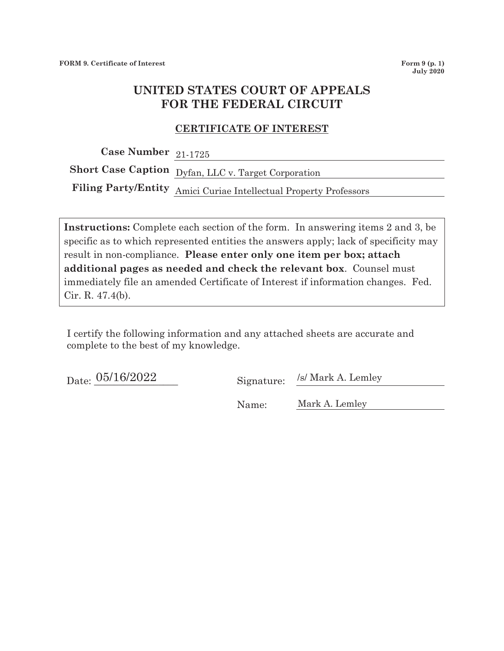## **UNITED STATES COURT OF APPEALS FOR THE FEDERAL CIRCUIT**

#### **CERTIFICATE OF INTEREST**

**Case Number**  21-1725

**Short Case Caption**  Dyfan, LLC v. Target Corporation

**Filing Party/Entity**  Amici Curiae Intellectual Property Professors

**Instructions:** Complete each section of the form. In answering items 2 and 3, be specific as to which represented entities the answers apply; lack of specificity may result in non-compliance. **Please enter only one item per box; attach additional pages as needed and check the relevant box**. Counsel must immediately file an amended Certificate of Interest if information changes. Fed. Cir. R. 47.4(b).

I certify the following information and any attached sheets are accurate and complete to the best of my knowledge.

Date:  $\frac{05/16/2022}{2}$  Signature:

/s/ Mark A. Lemley

 Name: Mark A. Lemley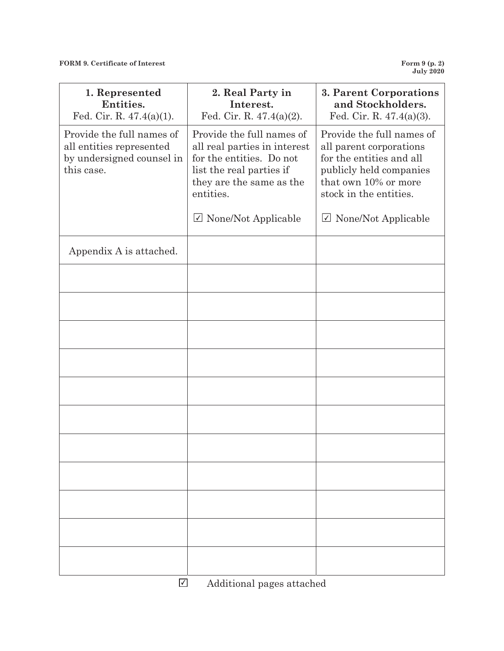**FORM 9. Certificate of Interest** 

**July 2020** 

| 1. Represented<br>Entities.<br>Fed. Cir. R. $47.4(a)(1)$ .                                       | 2. Real Party in<br>Interest.<br>Fed. Cir. R. 47.4(a)(2).                                                                                                  | 3. Parent Corporations<br>and Stockholders.<br>Fed. Cir. R. $47.4(a)(3)$ .                                                                                    |
|--------------------------------------------------------------------------------------------------|------------------------------------------------------------------------------------------------------------------------------------------------------------|---------------------------------------------------------------------------------------------------------------------------------------------------------------|
| Provide the full names of<br>all entities represented<br>by undersigned counsel in<br>this case. | Provide the full names of<br>all real parties in interest<br>for the entities. Do not<br>list the real parties if<br>they are the same as the<br>entities. | Provide the full names of<br>all parent corporations<br>for the entities and all<br>publicly held companies<br>that own 10% or more<br>stock in the entities. |
|                                                                                                  | $\vee$ None/Not Applicable                                                                                                                                 | $\triangledown$ None/Not Applicable                                                                                                                           |
| Appendix A is attached.                                                                          |                                                                                                                                                            |                                                                                                                                                               |
|                                                                                                  |                                                                                                                                                            |                                                                                                                                                               |
|                                                                                                  |                                                                                                                                                            |                                                                                                                                                               |
|                                                                                                  |                                                                                                                                                            |                                                                                                                                                               |
|                                                                                                  |                                                                                                                                                            |                                                                                                                                                               |
|                                                                                                  |                                                                                                                                                            |                                                                                                                                                               |
|                                                                                                  |                                                                                                                                                            |                                                                                                                                                               |
|                                                                                                  |                                                                                                                                                            |                                                                                                                                                               |
|                                                                                                  |                                                                                                                                                            |                                                                                                                                                               |
|                                                                                                  |                                                                                                                                                            |                                                                                                                                                               |
|                                                                                                  |                                                                                                                                                            |                                                                                                                                                               |
| $\sqrt{ }$                                                                                       | Additional pages attached                                                                                                                                  |                                                                                                                                                               |

Additional pages attached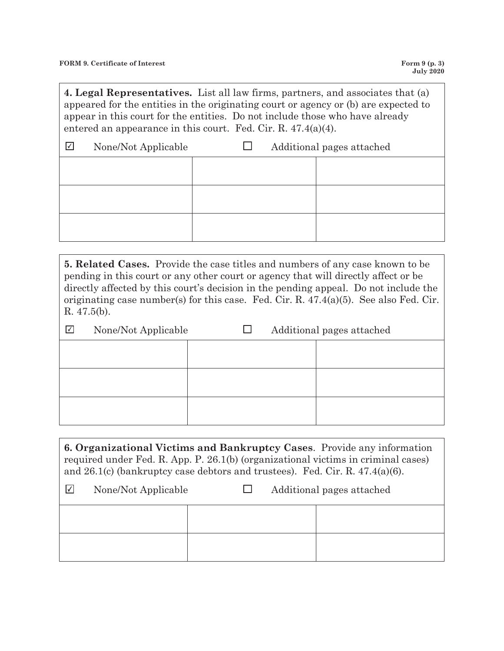**4. Legal Representatives.** List all law firms, partners, and associates that (a) appeared for the entities in the originating court or agency or (b) are expected to appear in this court for the entities. Do not include those who have already entered an appearance in this court. Fed. Cir. R. 47.4(a)(4).

| $\sqrt{ }$ | None/Not Applicable | $\mathbf{I}$ | Additional pages attached |
|------------|---------------------|--------------|---------------------------|
|            |                     |              |                           |
|            |                     |              |                           |
|            |                     |              |                           |
|            |                     |              |                           |
|            |                     |              |                           |

**5. Related Cases.** Provide the case titles and numbers of any case known to be pending in this court or any other court or agency that will directly affect or be directly affected by this court's decision in the pending appeal. Do not include the originating case number(s) for this case. Fed. Cir. R. 47.4(a)(5). See also Fed. Cir. R. 47.5(b).

| I√I | None/Not Applicable |  | Additional pages attached |
|-----|---------------------|--|---------------------------|
|     |                     |  |                           |
|     |                     |  |                           |
|     |                     |  |                           |
|     |                     |  |                           |
|     |                     |  |                           |

**6. Organizational Victims and Bankruptcy Cases**. Provide any information required under Fed. R. App. P. 26.1(b) (organizational victims in criminal cases) and 26.1(c) (bankruptcy case debtors and trustees). Fed. Cir. R. 47.4(a)(6).

| ₩ | None/Not Applicable | $\mathsf{L}$ | Additional pages attached |
|---|---------------------|--------------|---------------------------|
|   |                     |              |                           |
|   |                     |              |                           |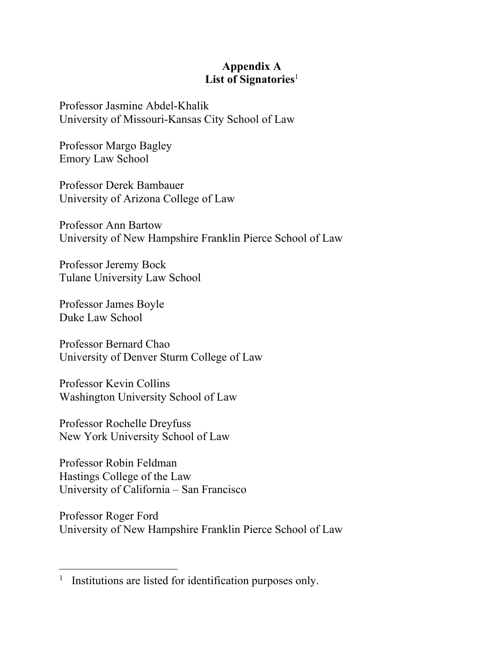## **Appendix A**  List of Signatories<sup>1</sup>

Professor Jasmine Abdel-Khalik University of Missouri-Kansas City School of Law

Professor Margo Bagley Emory Law School

Professor Derek Bambauer University of Arizona College of Law

Professor Ann Bartow University of New Hampshire Franklin Pierce School of Law

Professor Jeremy Bock Tulane University Law School

Professor James Boyle Duke Law School

Professor Bernard Chao University of Denver Sturm College of Law

Professor Kevin Collins Washington University School of Law

Professor Rochelle Dreyfuss New York University School of Law

Professor Robin Feldman Hastings College of the Law University of California – San Francisco

Professor Roger Ford University of New Hampshire Franklin Pierce School of Law

<sup>1</sup> Institutions are listed for identification purposes only.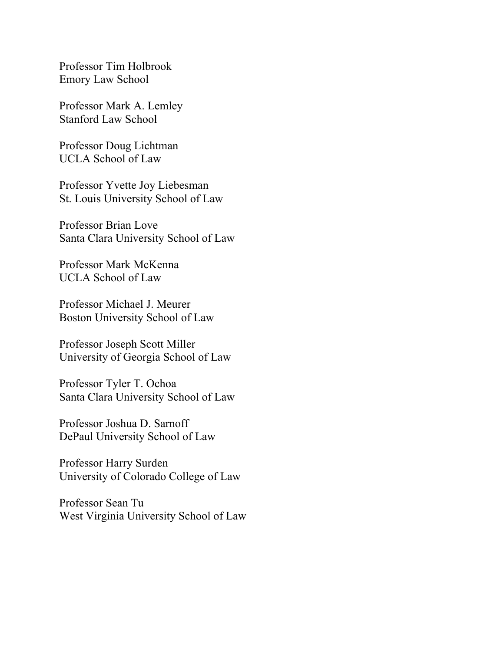Professor Tim Holbrook Emory Law School

Professor Mark A. Lemley Stanford Law School

Professor Doug Lichtman UCLA School of Law

Professor Yvette Joy Liebesman St. Louis University School of Law

Professor Brian Love Santa Clara University School of Law

Professor Mark McKenna UCLA School of Law

Professor Michael J. Meurer Boston University School of Law

Professor Joseph Scott Miller University of Georgia School of Law

Professor Tyler T. Ochoa Santa Clara University School of Law

Professor Joshua D. Sarnoff DePaul University School of Law

Professor Harry Surden University of Colorado College of Law

Professor Sean Tu West Virginia University School of Law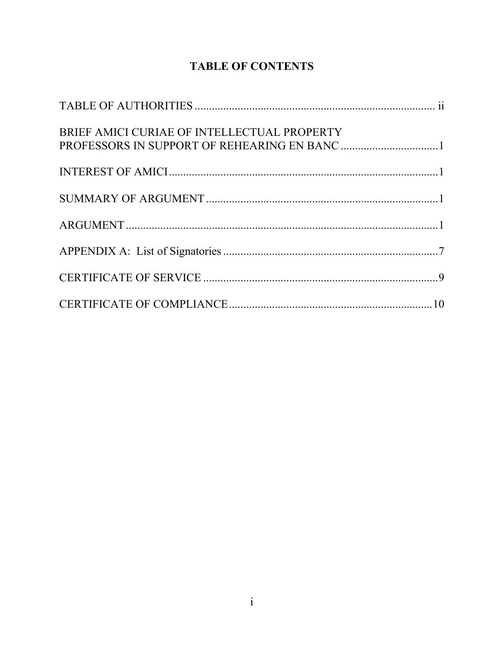# **TABLE OF CONTENTS**

| BRIEF AMICI CURIAE OF INTELLECTUAL PROPERTY |  |
|---------------------------------------------|--|
|                                             |  |
|                                             |  |
|                                             |  |
|                                             |  |
|                                             |  |
|                                             |  |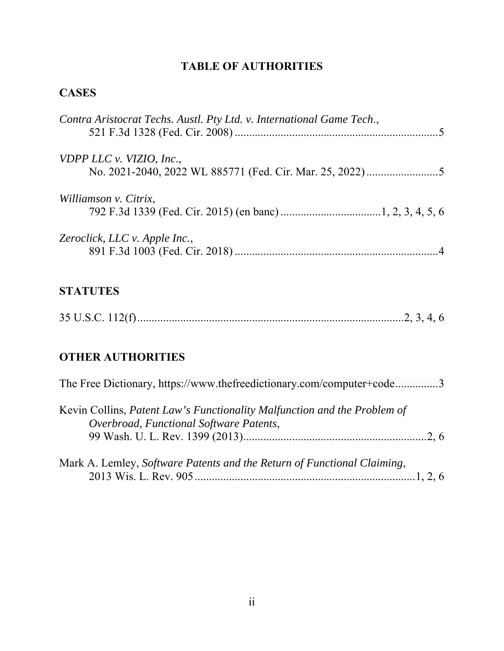# **TABLE OF AUTHORITIES**

# **CASES**

| Contra Aristocrat Techs. Austl. Pty Ltd. v. International Game Tech., |  |
|-----------------------------------------------------------------------|--|
| VDPP LLC v. VIZIO, Inc.,                                              |  |
| Williamson v. Citrix,                                                 |  |
| Zeroclick, LLC v. Apple Inc.,                                         |  |

# **STATUTES**

|--|--|--|--|

# **OTHER AUTHORITIES**

| The Free Dictionary, https://www.thefreedictionary.com/computer+code3                                               |
|---------------------------------------------------------------------------------------------------------------------|
| Kevin Collins, Patent Law's Functionality Malfunction and the Problem of<br>Overbroad, Functional Software Patents, |
|                                                                                                                     |
| Mark A. Lemley, Software Patents and the Return of Functional Claiming,                                             |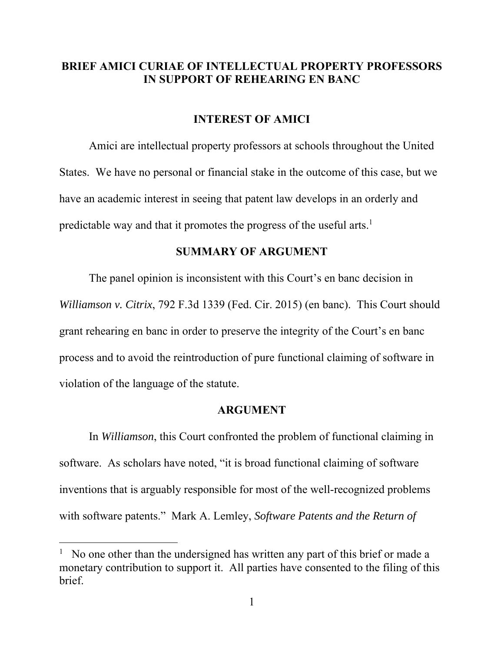### **BRIEF AMICI CURIAE OF INTELLECTUAL PROPERTY PROFESSORS IN SUPPORT OF REHEARING EN BANC**

#### **INTEREST OF AMICI**

Amici are intellectual property professors at schools throughout the United States. We have no personal or financial stake in the outcome of this case, but we have an academic interest in seeing that patent law develops in an orderly and predictable way and that it promotes the progress of the useful arts.<sup>1</sup>

#### **SUMMARY OF ARGUMENT**

The panel opinion is inconsistent with this Court's en banc decision in *Williamson v. Citrix*, 792 F.3d 1339 (Fed. Cir. 2015) (en banc). This Court should grant rehearing en banc in order to preserve the integrity of the Court's en banc process and to avoid the reintroduction of pure functional claiming of software in violation of the language of the statute.

#### **ARGUMENT**

 In *Williamson*, this Court confronted the problem of functional claiming in software. As scholars have noted, "it is broad functional claiming of software inventions that is arguably responsible for most of the well-recognized problems with software patents." Mark A. Lemley, *Software Patents and the Return of* 

<sup>&</sup>lt;sup>1</sup> No one other than the undersigned has written any part of this brief or made a monetary contribution to support it. All parties have consented to the filing of this brief.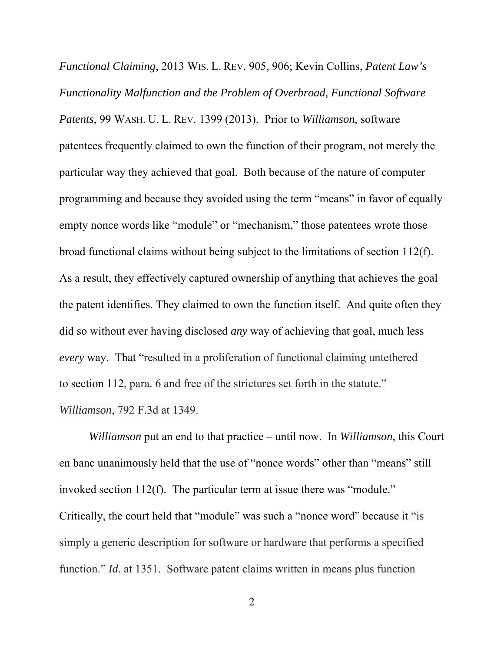*Functional Claiming*, 2013 WIS. L. REV. 905, 906; Kevin Collins, *Patent Law's Functionality Malfunction and the Problem of Overbroad, Functional Software Patents*, 99 WASH. U. L. REV. 1399 (2013). Prior to *Williamson*, software patentees frequently claimed to own the function of their program, not merely the particular way they achieved that goal. Both because of the nature of computer programming and because they avoided using the term "means" in favor of equally empty nonce words like "module" or "mechanism," those patentees wrote those broad functional claims without being subject to the limitations of section 112(f). As a result, they effectively captured ownership of anything that achieves the goal the patent identifies. They claimed to own the function itself. And quite often they did so without ever having disclosed *any* way of achieving that goal, much less *every* way. That "resulted in a proliferation of functional claiming untethered to section 112, para. 6 and free of the strictures set forth in the statute." *Williamson*, 792 F.3d at 1349.

*Williamson* put an end to that practice – until now. In *Williamson*, this Court en banc unanimously held that the use of "nonce words" other than "means" still invoked section 112(f). The particular term at issue there was "module." Critically, the court held that "module" was such a "nonce word" because it "is simply a generic description for software or hardware that performs a specified function." *Id*. at 1351. Software patent claims written in means plus function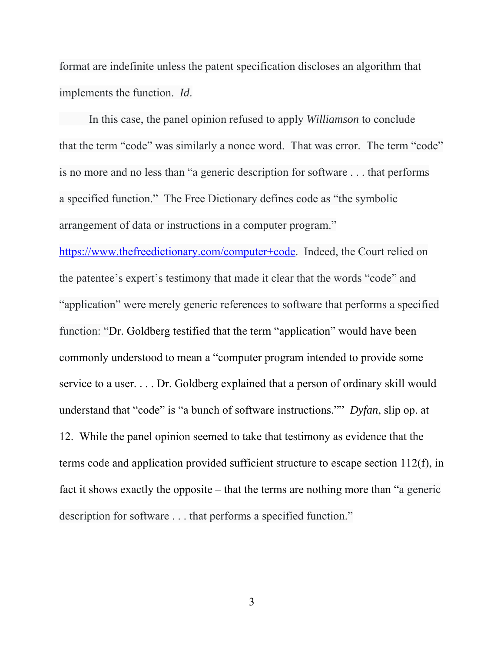format are indefinite unless the patent specification discloses an algorithm that implements the function. *Id*.

 In this case, the panel opinion refused to apply *Williamson* to conclude that the term "code" was similarly a nonce word. That was error. The term "code" is no more and no less than "a generic description for software . . . that performs a specified function." The Free Dictionary defines code as "the symbolic arrangement of data or instructions in a computer program."

https://www.thefreedictionary.com/computer+code. Indeed, the Court relied on the patentee's expert's testimony that made it clear that the words "code" and "application" were merely generic references to software that performs a specified function: "Dr. Goldberg testified that the term "application" would have been commonly understood to mean a "computer program intended to provide some service to a user. . . . Dr. Goldberg explained that a person of ordinary skill would understand that "code" is "a bunch of software instructions."" *Dyfan*, slip op. at 12. While the panel opinion seemed to take that testimony as evidence that the terms code and application provided sufficient structure to escape section 112(f), in fact it shows exactly the opposite – that the terms are nothing more than "a generic description for software . . . that performs a specified function."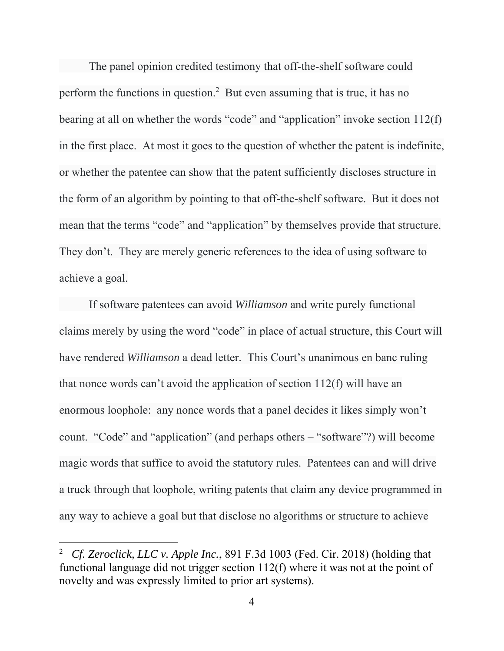The panel opinion credited testimony that off-the-shelf software could perform the functions in question.<sup>2</sup> But even assuming that is true, it has no bearing at all on whether the words "code" and "application" invoke section 112(f) in the first place. At most it goes to the question of whether the patent is indefinite, or whether the patentee can show that the patent sufficiently discloses structure in the form of an algorithm by pointing to that off-the-shelf software. But it does not mean that the terms "code" and "application" by themselves provide that structure. They don't. They are merely generic references to the idea of using software to achieve a goal.

 If software patentees can avoid *Williamson* and write purely functional claims merely by using the word "code" in place of actual structure, this Court will have rendered *Williamson* a dead letter. This Court's unanimous en banc ruling that nonce words can't avoid the application of section 112(f) will have an enormous loophole: any nonce words that a panel decides it likes simply won't count. "Code" and "application" (and perhaps others – "software"?) will become magic words that suffice to avoid the statutory rules. Patentees can and will drive a truck through that loophole, writing patents that claim any device programmed in any way to achieve a goal but that disclose no algorithms or structure to achieve

<sup>2</sup> *Cf. Zeroclick, LLC v. Apple Inc.*, 891 F.3d 1003 (Fed. Cir. 2018) (holding that functional language did not trigger section 112(f) where it was not at the point of novelty and was expressly limited to prior art systems).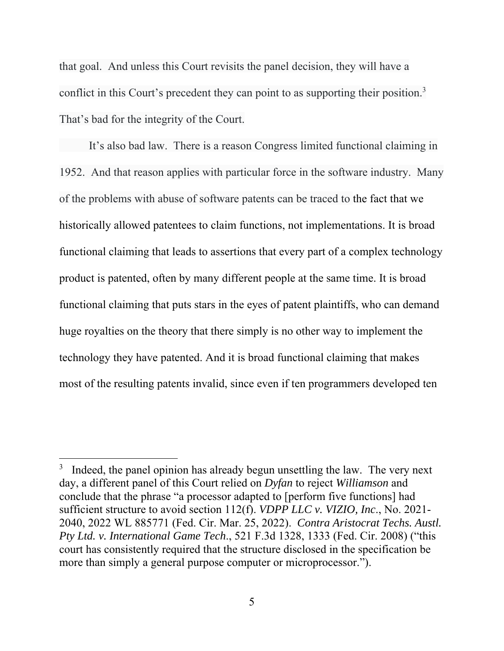that goal. And unless this Court revisits the panel decision, they will have a conflict in this Court's precedent they can point to as supporting their position.<sup>3</sup> That's bad for the integrity of the Court.

 It's also bad law. There is a reason Congress limited functional claiming in 1952. And that reason applies with particular force in the software industry. Many of the problems with abuse of software patents can be traced to the fact that we historically allowed patentees to claim functions, not implementations. It is broad functional claiming that leads to assertions that every part of a complex technology product is patented, often by many different people at the same time. It is broad functional claiming that puts stars in the eyes of patent plaintiffs, who can demand huge royalties on the theory that there simply is no other way to implement the technology they have patented. And it is broad functional claiming that makes most of the resulting patents invalid, since even if ten programmers developed ten

 $3$  Indeed, the panel opinion has already begun unsettling the law. The very next day, a different panel of this Court relied on *Dyfan* to reject *Williamson* and conclude that the phrase "a processor adapted to [perform five functions] had sufficient structure to avoid section 112(f). *VDPP LLC v. VIZIO, Inc*., No. 2021- 2040, 2022 WL 885771 (Fed. Cir. Mar. 25, 2022). *Contra Aristocrat Techs. Austl. Pty Ltd. v. International Game Tech*., 521 F.3d 1328, 1333 (Fed. Cir. 2008) ("this court has consistently required that the structure disclosed in the specification be more than simply a general purpose computer or microprocessor.").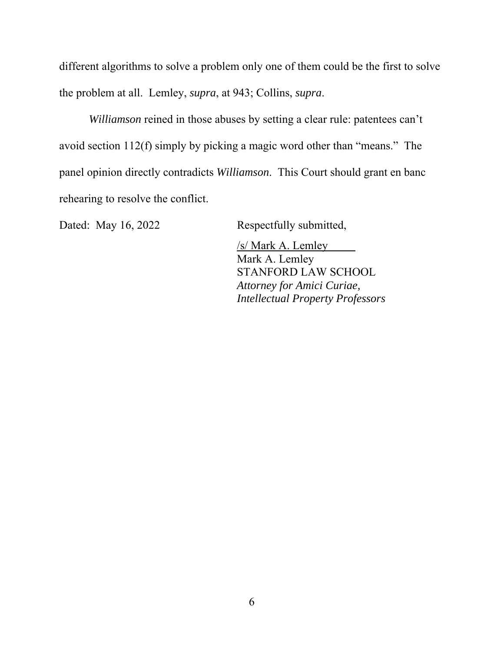different algorithms to solve a problem only one of them could be the first to solve the problem at all. Lemley, *supra*, at 943; Collins, *supra*.

*Williamson* reined in those abuses by setting a clear rule: patentees can't avoid section 112(f) simply by picking a magic word other than "means." The panel opinion directly contradicts *Williamson*. This Court should grant en banc rehearing to resolve the conflict.

Dated: May 16, 2022 Respectfully submitted,

/s/ Mark A. Lemley Mark A. Lemley STANFORD LAW SCHOOL *Attorney for Amici Curiae, Intellectual Property Professors*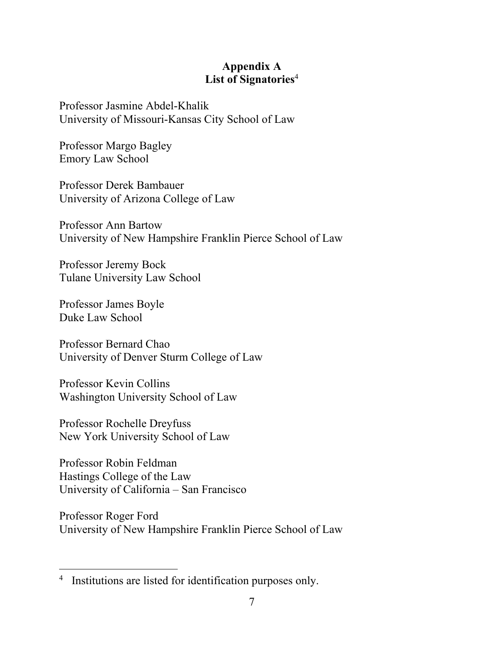## **Appendix A List of Signatories**<sup>4</sup>

Professor Jasmine Abdel-Khalik University of Missouri-Kansas City School of Law

Professor Margo Bagley Emory Law School

Professor Derek Bambauer University of Arizona College of Law

Professor Ann Bartow University of New Hampshire Franklin Pierce School of Law

Professor Jeremy Bock Tulane University Law School

Professor James Boyle Duke Law School

Professor Bernard Chao University of Denver Sturm College of Law

Professor Kevin Collins Washington University School of Law

Professor Rochelle Dreyfuss New York University School of Law

Professor Robin Feldman Hastings College of the Law University of California – San Francisco

Professor Roger Ford University of New Hampshire Franklin Pierce School of Law

<sup>&</sup>lt;sup>4</sup> Institutions are listed for identification purposes only.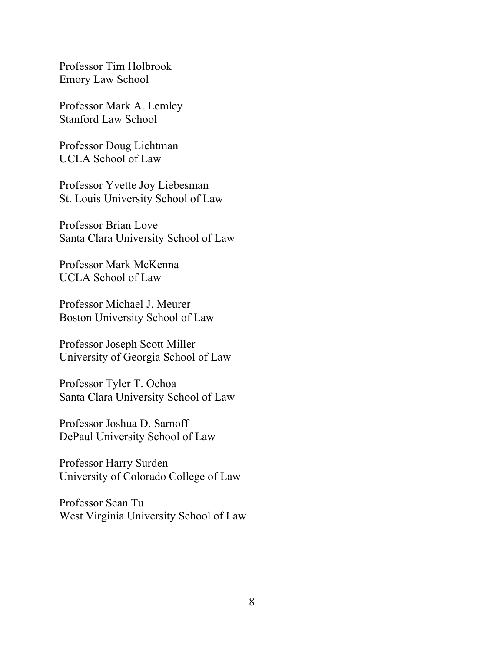Professor Tim Holbrook Emory Law School

Professor Mark A. Lemley Stanford Law School

Professor Doug Lichtman UCLA School of Law

Professor Yvette Joy Liebesman St. Louis University School of Law

Professor Brian Love Santa Clara University School of Law

Professor Mark McKenna UCLA School of Law

Professor Michael J. Meurer Boston University School of Law

Professor Joseph Scott Miller University of Georgia School of Law

Professor Tyler T. Ochoa Santa Clara University School of Law

Professor Joshua D. Sarnoff DePaul University School of Law

Professor Harry Surden University of Colorado College of Law

Professor Sean Tu West Virginia University School of Law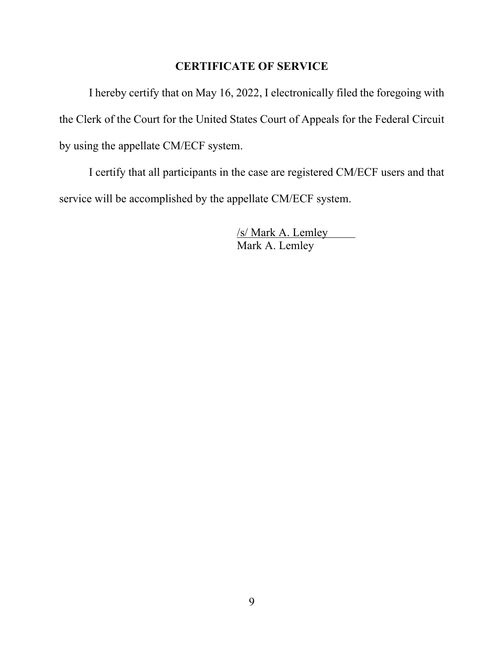## **CERTIFICATE OF SERVICE**

I hereby certify that on May 16, 2022, I electronically filed the foregoing with the Clerk of the Court for the United States Court of Appeals for the Federal Circuit by using the appellate CM/ECF system.

I certify that all participants in the case are registered CM/ECF users and that service will be accomplished by the appellate CM/ECF system.

> /s/ Mark A. Lemley Mark A. Lemley